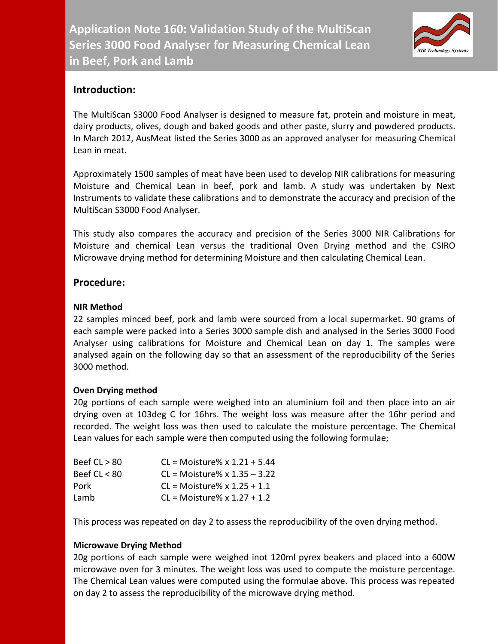

# **Introduction:**

The MultiScan S3000 Food Analyser is designed to measure fat, protein and moisture in meat, dairy products, olives, dough and baked goods and other paste, slurry and powdered products. In March 2012, AusMeat listed the Series 3000 as an approved analyser for measuring Chemical Lean in meat.

Approximately 1500 samples of meat have been used to develop NIR calibrations for measuring Moisture and Chemical Lean in beef, pork and lamb. A study was undertaken by Next Instruments to validate these calibrations and to demonstrate the accuracy and precision of the MultiScan S3000 Food Analyser.

This study also compares the accuracy and precision of the Series 3000 NIR Calibrations for Moisture and chemical Lean versus the traditional Oven Drying method and the CSIRO Microwave drying method for determining Moisture and then calculating Chemical Lean.

## **Procedure:**

#### **NIR Method**

22 samples minced beef, pork and lamb were sourced from a local supermarket. 90 grams of each sample were packed into a Series 3000 sample dish and analysed in the Series 3000 Food Analyser using calibrations for Moisture and Chemical Lean on day 1. The samples were analysed again on the following day so that an assessment of the reproducibility of the Series 3000 method.

## **Oven Drying method**

20g portions of each sample were weighed into an aluminium foil and then place into an air drying oven at 103deg C for 16hrs. The weight loss was measure after the 16hr period and recorded. The weight loss was then used to calculate the moisture percentage. The Chemical Lean values for each sample were then computed using the following formulae;

| Beef $CL > 80$ | $CL = Moisture% x 1.21 + 5.44$ |
|----------------|--------------------------------|
| Beef $CL < 80$ | $CL = Moisture% x 1.35 - 3.22$ |
| Pork           | $CL = Moisture% x 1.25 + 1.1$  |
| Lamb           | $CL = Moisture% x 1.27 + 1.2$  |

This process was repeated on day 2 to assess the reproducibility of the oven drying method.

## **Microwave Drying Method**

20g portions of each sample were weighed inot 120ml pyrex beakers and placed into a 600W microwave oven for 3 minutes. The weight loss was used to compute the moisture percentage. The Chemical Lean values were computed using the formulae above. This process was repeated on day 2 to assess the reproducibility of the microwave drying method.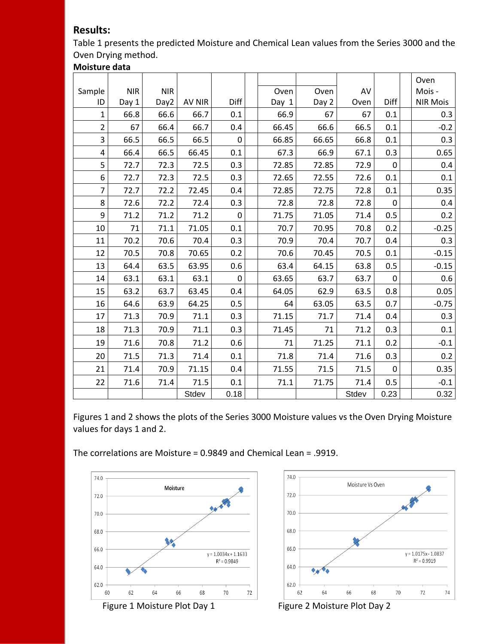## **Results:**

Table 1 presents the predicted Moisture and Chemical Lean values from the Series 3000 and the Oven Drying method.

## **Moisture data**

|                |            |            |               |                |       |       |       |             | Oven            |
|----------------|------------|------------|---------------|----------------|-------|-------|-------|-------------|-----------------|
| Sample         | <b>NIR</b> | <b>NIR</b> |               |                | Oven  | Oven  | AV    |             | Mois -          |
| ID             | Day 1      | Day2       | <b>AV NIR</b> | Diff           | Day 1 | Day 2 | Oven  | Diff        | <b>NIR Mois</b> |
| $\mathbf{1}$   | 66.8       | 66.6       | 66.7          | 0.1            | 66.9  | 67    | 67    | 0.1         | 0.3             |
| $\overline{2}$ | 67         | 66.4       | 66.7          | 0.4            | 66.45 | 66.6  | 66.5  | 0.1         | $-0.2$          |
| $\overline{3}$ | 66.5       | 66.5       | 66.5          | 0              | 66.85 | 66.65 | 66.8  | 0.1         | 0.3             |
| 4              | 66.4       | 66.5       | 66.45         | 0.1            | 67.3  | 66.9  | 67.1  | 0.3         | 0.65            |
| 5              | 72.7       | 72.3       | 72.5          | 0.3            | 72.85 | 72.85 | 72.9  | $\mathbf 0$ | 0.4             |
| 6              | 72.7       | 72.3       | 72.5          | 0.3            | 72.65 | 72.55 | 72.6  | 0.1         | $0.1\,$         |
| $\overline{7}$ | 72.7       | 72.2       | 72.45         | 0.4            | 72.85 | 72.75 | 72.8  | 0.1         | 0.35            |
| 8              | 72.6       | 72.2       | 72.4          | 0.3            | 72.8  | 72.8  | 72.8  | $\mathbf 0$ | 0.4             |
| 9              | 71.2       | 71.2       | 71.2          | $\overline{0}$ | 71.75 | 71.05 | 71.4  | 0.5         | 0.2             |
| 10             | 71         | 71.1       | 71.05         | 0.1            | 70.7  | 70.95 | 70.8  | 0.2         | $-0.25$         |
| 11             | 70.2       | 70.6       | 70.4          | 0.3            | 70.9  | 70.4  | 70.7  | 0.4         | 0.3             |
| 12             | 70.5       | 70.8       | 70.65         | 0.2            | 70.6  | 70.45 | 70.5  | 0.1         | $-0.15$         |
| 13             | 64.4       | 63.5       | 63.95         | 0.6            | 63.4  | 64.15 | 63.8  | 0.5         | $-0.15$         |
| 14             | 63.1       | 63.1       | 63.1          | $\mathbf 0$    | 63.65 | 63.7  | 63.7  | $\mathbf 0$ | 0.6             |
| 15             | 63.2       | 63.7       | 63.45         | 0.4            | 64.05 | 62.9  | 63.5  | 0.8         | 0.05            |
| 16             | 64.6       | 63.9       | 64.25         | 0.5            | 64    | 63.05 | 63.5  | 0.7         | $-0.75$         |
| 17             | 71.3       | 70.9       | 71.1          | 0.3            | 71.15 | 71.7  | 71.4  | 0.4         | 0.3             |
| 18             | 71.3       | 70.9       | 71.1          | 0.3            | 71.45 | 71    | 71.2  | 0.3         | 0.1             |
| 19             | 71.6       | 70.8       | 71.2          | 0.6            | 71    | 71.25 | 71.1  | 0.2         | $-0.1$          |
| 20             | 71.5       | 71.3       | 71.4          | 0.1            | 71.8  | 71.4  | 71.6  | 0.3         | 0.2             |
| 21             | 71.4       | 70.9       | 71.15         | 0.4            | 71.55 | 71.5  | 71.5  | $\mathbf 0$ | 0.35            |
| 22             | 71.6       | 71.4       | 71.5          | 0.1            | 71.1  | 71.75 | 71.4  | 0.5         | $-0.1$          |
|                |            |            | Stdev         | 0.18           |       |       | Stdev | 0.23        | 0.32            |

Figures 1 and 2 shows the plots of the Series 3000 Moisture values vs the Oven Drying Moisture values for days 1 and 2.

The correlations are Moisture = 0.9849 and Chemical Lean = .9919.



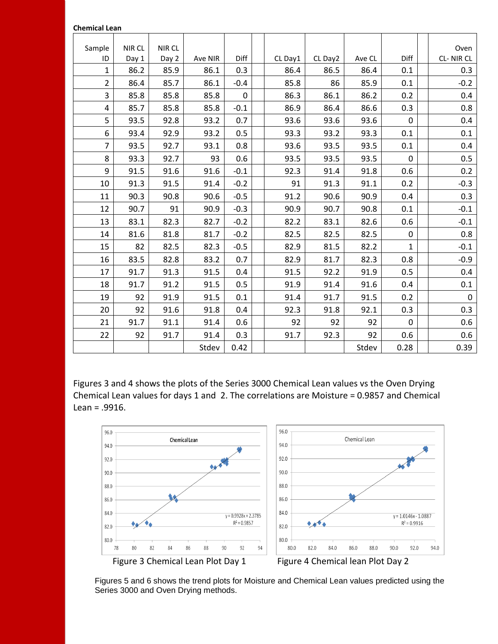#### **Chemical Lean**

| Sample<br>ID   | <b>NIR CL</b><br>Day 1 | NIR CL<br>Day 2 | Ave NIR | Diff        | CL Day1 | CL Day2 | Ave CL | Diff         | Oven<br>CL-NIRCL |
|----------------|------------------------|-----------------|---------|-------------|---------|---------|--------|--------------|------------------|
| $\mathbf{1}$   | 86.2                   | 85.9            | 86.1    | 0.3         | 86.4    | 86.5    | 86.4   | 0.1          | 0.3              |
| $\overline{2}$ | 86.4                   | 85.7            | 86.1    | $-0.4$      | 85.8    | 86      | 85.9   | 0.1          | $-0.2$           |
| 3              | 85.8                   | 85.8            | 85.8    | $\mathbf 0$ | 86.3    | 86.1    | 86.2   | 0.2          | 0.4              |
| 4              | 85.7                   | 85.8            | 85.8    | $-0.1$      | 86.9    | 86.4    | 86.6   | 0.3          | 0.8              |
| 5              | 93.5                   | 92.8            | 93.2    | 0.7         | 93.6    | 93.6    | 93.6   | $\mathbf 0$  | 0.4              |
| 6              | 93.4                   | 92.9            | 93.2    | 0.5         | 93.3    | 93.2    | 93.3   | 0.1          | 0.1              |
| $\overline{7}$ | 93.5                   | 92.7            | 93.1    | 0.8         | 93.6    | 93.5    | 93.5   | 0.1          | 0.4              |
| 8              | 93.3                   | 92.7            | 93      | 0.6         | 93.5    | 93.5    | 93.5   | $\mathbf 0$  | 0.5              |
| 9              | 91.5                   | 91.6            | 91.6    | $-0.1$      | 92.3    | 91.4    | 91.8   | 0.6          | 0.2              |
| 10             | 91.3                   | 91.5            | 91.4    | $-0.2$      | 91      | 91.3    | 91.1   | 0.2          | $-0.3$           |
| 11             | 90.3                   | 90.8            | 90.6    | $-0.5$      | 91.2    | 90.6    | 90.9   | 0.4          | 0.3              |
| 12             | 90.7                   | 91              | 90.9    | $-0.3$      | 90.9    | 90.7    | 90.8   | 0.1          | $-0.1$           |
| 13             | 83.1                   | 82.3            | 82.7    | $-0.2$      | 82.2    | 83.1    | 82.6   | 0.6          | $-0.1$           |
| 14             | 81.6                   | 81.8            | 81.7    | $-0.2$      | 82.5    | 82.5    | 82.5   | $\mathbf 0$  | 0.8              |
| 15             | 82                     | 82.5            | 82.3    | $-0.5$      | 82.9    | 81.5    | 82.2   | $\mathbf{1}$ | $-0.1$           |
| 16             | 83.5                   | 82.8            | 83.2    | 0.7         | 82.9    | 81.7    | 82.3   | 0.8          | $-0.9$           |
| 17             | 91.7                   | 91.3            | 91.5    | 0.4         | 91.5    | 92.2    | 91.9   | 0.5          | 0.4              |
| 18             | 91.7                   | 91.2            | 91.5    | 0.5         | 91.9    | 91.4    | 91.6   | 0.4          | 0.1              |
| 19             | 92                     | 91.9            | 91.5    | 0.1         | 91.4    | 91.7    | 91.5   | 0.2          | $\pmb{0}$        |
| 20             | 92                     | 91.6            | 91.8    | 0.4         | 92.3    | 91.8    | 92.1   | 0.3          | 0.3              |
| 21             | 91.7                   | 91.1            | 91.4    | 0.6         | 92      | 92      | 92     | $\mathbf 0$  | 0.6              |
| 22             | 92                     | 91.7            | 91.4    | 0.3         | 91.7    | 92.3    | 92     | 0.6          | 0.6              |
|                |                        |                 | Stdev   | 0.42        |         |         | Stdev  | 0.28         | 0.39             |

Figures 3 and 4 shows the plots of the Series 3000 Chemical Lean values vs the Oven Drying Chemical Lean values for days 1 and 2. The correlations are Moisture = 0.9857 and Chemical Lean = .9916.



Figures 5 and 6 shows the trend plots for Moisture and Chemical Lean values predicted using the Series 3000 and Oven Drying methods.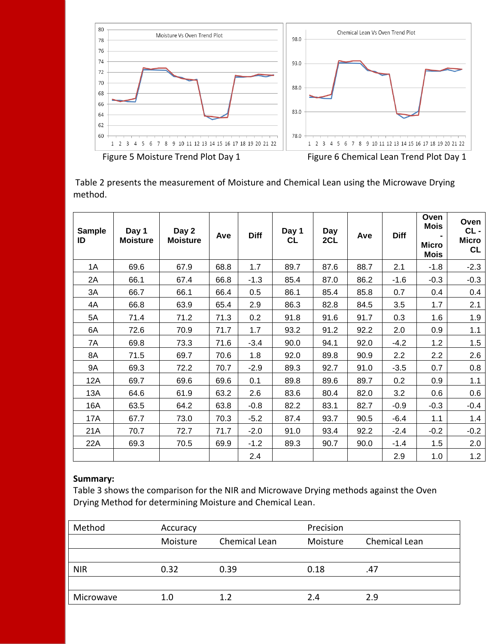

Table 2 presents the measurement of Moisture and Chemical Lean using the Microwave Drying method.

| <b>Sample</b><br>ID | Day 1<br><b>Moisture</b> | Day 2<br><b>Moisture</b> | Ave  | <b>Diff</b> | Day 1<br><b>CL</b> | Day<br>2CL | Ave  | <b>Diff</b> | Oven<br><b>Mois</b><br><b>Micro</b><br><b>Mois</b> | Oven<br>CL-<br><b>Micro</b><br><b>CL</b> |
|---------------------|--------------------------|--------------------------|------|-------------|--------------------|------------|------|-------------|----------------------------------------------------|------------------------------------------|
| 1A                  | 69.6                     | 67.9                     | 68.8 | 1.7         | 89.7               | 87.6       | 88.7 | 2.1         | $-1.8$                                             | $-2.3$                                   |
| 2A                  | 66.1                     | 67.4                     | 66.8 | $-1.3$      | 85.4               | 87.0       | 86.2 | $-1.6$      | $-0.3$                                             | $-0.3$                                   |
| 3A                  | 66.7                     | 66.1                     | 66.4 | 0.5         | 86.1               | 85.4       | 85.8 | 0.7         | 0.4                                                | 0.4                                      |
| 4A                  | 66.8                     | 63.9                     | 65.4 | 2.9         | 86.3               | 82.8       | 84.5 | 3.5         | 1.7                                                | 2.1                                      |
| 5A                  | 71.4                     | 71.2                     | 71.3 | 0.2         | 91.8               | 91.6       | 91.7 | 0.3         | 1.6                                                | 1.9                                      |
| 6A                  | 72.6                     | 70.9                     | 71.7 | 1.7         | 93.2               | 91.2       | 92.2 | 2.0         | 0.9                                                | 1.1                                      |
| 7A                  | 69.8                     | 73.3                     | 71.6 | $-3.4$      | 90.0               | 94.1       | 92.0 | $-4.2$      | 1.2                                                | 1.5                                      |
| 8A                  | 71.5                     | 69.7                     | 70.6 | 1.8         | 92.0               | 89.8       | 90.9 | 2.2         | 2.2                                                | 2.6                                      |
| 9A                  | 69.3                     | 72.2                     | 70.7 | $-2.9$      | 89.3               | 92.7       | 91.0 | $-3.5$      | 0.7                                                | 0.8                                      |
| 12A                 | 69.7                     | 69.6                     | 69.6 | 0.1         | 89.8               | 89.6       | 89.7 | 0.2         | 0.9                                                | 1.1                                      |
| 13A                 | 64.6                     | 61.9                     | 63.2 | 2.6         | 83.6               | 80.4       | 82.0 | 3.2         | 0.6                                                | 0.6                                      |
| 16A                 | 63.5                     | 64.2                     | 63.8 | $-0.8$      | 82.2               | 83.1       | 82.7 | $-0.9$      | $-0.3$                                             | $-0.4$                                   |
| 17A                 | 67.7                     | 73.0                     | 70.3 | $-5.2$      | 87.4               | 93.7       | 90.5 | $-6.4$      | 1.1                                                | 1.4                                      |
| 21A                 | 70.7                     | 72.7                     | 71.7 | $-2.0$      | 91.0               | 93.4       | 92.2 | $-2.4$      | $-0.2$                                             | $-0.2$                                   |
| 22A                 | 69.3                     | 70.5                     | 69.9 | $-1.2$      | 89.3               | 90.7       | 90.0 | $-1.4$      | 1.5                                                | 2.0                                      |
|                     |                          |                          |      | 2.4         |                    |            |      | 2.9         | 1.0                                                | 1.2                                      |

#### **Summary:**

Table 3 shows the comparison for the NIR and Microwave Drying methods against the Oven Drying Method for determining Moisture and Chemical Lean.

| Method     | Accuracy |               | Precision |               |  |  |
|------------|----------|---------------|-----------|---------------|--|--|
|            | Moisture | Chemical Lean | Moisture  | Chemical Lean |  |  |
|            |          |               |           |               |  |  |
| <b>NIR</b> | 0.32     | 0.39          | 0.18      | .47           |  |  |
|            |          |               |           |               |  |  |
| Microwave  | 1.0      | 1.2           | 2.4       | 2.9           |  |  |